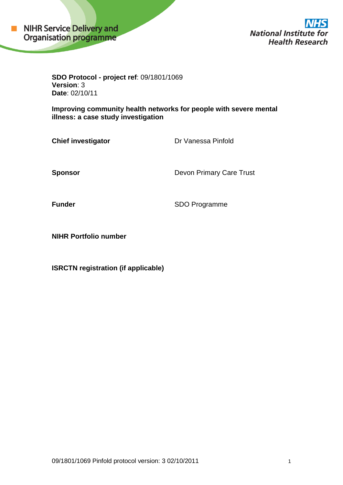

**National Institute for Health Research** 

**SDO Protocol - project ref**: 09/1801/1069 **Version**: 3 **Date**: 02/10/11

**Improving community health networks for people with severe mental illness: a case study investigation**

**Chief investigator** Dr Vanessa Pinfold

**Sponsor** Devon Primary Care Trust

**Funder** SDO Programme

**NIHR Portfolio number**

**ISRCTN registration (if applicable)**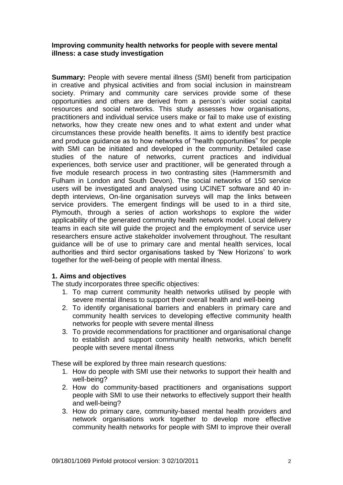### **Improving community health networks for people with severe mental illness: a case study investigation**

**Summary:** People with severe mental illness (SMI) benefit from participation in creative and physical activities and from social inclusion in mainstream society. Primary and community care services provide some of these opportunities and others are derived from a person"s wider social capital resources and social networks. This study assesses how organisations, practitioners and individual service users make or fail to make use of existing networks, how they create new ones and to what extent and under what circumstances these provide health benefits. It aims to identify best practice and produce guidance as to how networks of "health opportunities" for people with SMI can be initiated and developed in the community. Detailed case studies of the nature of networks, current practices and individual experiences, both service user and practitioner, will be generated through a five module research process in two contrasting sites (Hammersmith and Fulham in London and South Devon). The social networks of 150 service users will be investigated and analysed using UCINET software and 40 indepth interviews, On-line organisation surveys will map the links between service providers. The emergent findings will be used to in a third site, Plymouth, through a series of action workshops to explore the wider applicability of the generated community health network model. Local delivery teams in each site will guide the project and the employment of service user researchers ensure active stakeholder involvement throughout. The resultant guidance will be of use to primary care and mental health services, local authorities and third sector organisations tasked by "New Horizons" to work together for the well-being of people with mental illness.

### **1. Aims and objectives**

The study incorporates three specific objectives:

- 1. To map current community health networks utilised by people with severe mental illness to support their overall health and well-being
- 2. To identify organisational barriers and enablers in primary care and community health services to developing effective community health networks for people with severe mental illness
- 3. To provide recommendations for practitioner and organisational change to establish and support community health networks, which benefit people with severe mental illness

These will be explored by three main research questions:

- 1. How do people with SMI use their networks to support their health and well-being?
- 2. How do community-based practitioners and organisations support people with SMI to use their networks to effectively support their health and well-being?
- 3. How do primary care, community-based mental health providers and network organisations work together to develop more effective community health networks for people with SMI to improve their overall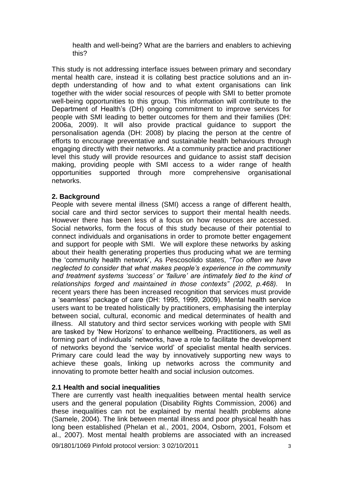health and well-being? What are the barriers and enablers to achieving this?

This study is not addressing interface issues between primary and secondary mental health care, instead it is collating best practice solutions and an indepth understanding of how and to what extent organisations can link together with the wider social resources of people with SMI to better promote well-being opportunities to this group. This information will contribute to the Department of Health"s (DH) ongoing commitment to improve services for people with SMI leading to better outcomes for them and their families (DH: 2006a, 2009). It will also provide practical guidance to support the personalisation agenda (DH: 2008) by placing the person at the centre of efforts to encourage preventative and sustainable health behaviours through engaging directly with their networks. At a community practice and practitioner level this study will provide resources and guidance to assist staff decision making, providing people with SMI access to a wider range of health opportunities supported through more comprehensive organisational networks.

### **2. Background**

People with severe mental illness (SMI) access a range of different health, social care and third sector services to support their mental health needs. However there has been less of a focus on how resources are accessed. Social networks, form the focus of this study because of their potential to connect individuals and organisations in order to promote better engagement and support for people with SMI. We will explore these networks by asking about their health generating properties thus producing what we are terming the "community health network", As Pescosolido states, *"Too often we have neglected to consider that what makes people"s experience in the community and treatment systems "success" or "failure" are intimately tied to the kind of relationships forged and maintained in those contexts" (2002, p.468).* In recent years there has been increased recognition that services must provide a "seamless" package of care (DH: 1995, 1999, 2009). Mental health service users want to be treated holistically by practitioners, emphasising the interplay between social, cultural, economic and medical determinates of health and illness. All statutory and third sector services working with people with SMI are tasked by "New Horizons" to enhance wellbeing. Practitioners, as well as forming part of individuals" networks, have a role to facilitate the development of networks beyond the "service world" of specialist mental health services. Primary care could lead the way by innovatively supporting new ways to achieve these goals, linking up networks across the community and innovating to promote better health and social inclusion outcomes.

### **2.1 Health and social inequalities**

There are currently vast health inequalities between mental health service users and the general population (Disability Rights Commission, 2006) and these inequalities can not be explained by mental health problems alone (Samele, 2004). The link between mental illness and poor physical health has long been established (Phelan et al., 2001, 2004, Osborn, 2001, Folsom et al., 2007). Most mental health problems are associated with an increased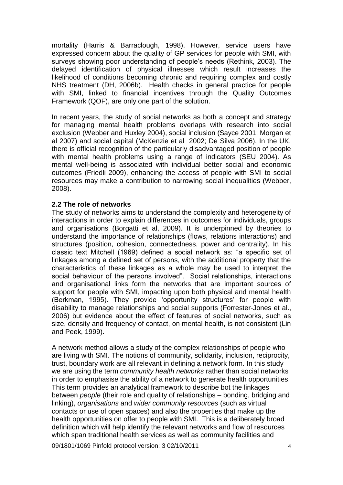mortality (Harris & Barraclough, 1998). However, service users have expressed concern about the quality of GP services for people with SMI, with surveys showing poor understanding of people's needs (Rethink, 2003). The delayed identification of physical illnesses which result increases the likelihood of conditions becoming chronic and requiring complex and costly NHS treatment (DH, 2006b). Health checks in general practice for people with SMI, linked to financial incentives through the Quality Outcomes Framework (QOF), are only one part of the solution.

In recent years, the study of social networks as both a concept and strategy for managing mental health problems overlaps with research into social exclusion (Webber and Huxley 2004), social inclusion (Sayce 2001; Morgan et al 2007) and social capital (McKenzie et al 2002; De Silva 2006). In the UK, there is official recognition of the particularly disadvantaged position of people with mental health problems using a range of indicators (SEU 2004). As mental well-being is associated with individual better social and economic outcomes (Friedli 2009), enhancing the access of people with SMI to social resources may make a contribution to narrowing social inequalities (Webber, 2008).

### **2.2 The role of networks**

The study of networks aims to understand the complexity and heterogeneity of interactions in order to explain differences in outcomes for individuals, groups and organisations (Borgatti et al, 2009). It is underpinned by theories to understand the importance of relationships (flows, relations interactions) and structures (position, cohesion, connectedness, power and centrality). In his classic text Mitchell (1969) defined a social network as: "a specific set of linkages among a defined set of persons, with the additional property that the characteristics of these linkages as a whole may be used to interpret the social behaviour of the persons involved". Social relationships, interactions and organisational links form the networks that are important sources of support for people with SMI, impacting upon both physical and mental health (Berkman, 1995). They provide "opportunity structures" for people with disability to manage relationships and social supports (Forrester-Jones et al., 2006) but evidence about the effect of features of social networks, such as size, density and frequency of contact, on mental health, is not consistent (Lin and Peek, 1999).

A network method allows a study of the complex relationships of people who are living with SMI. The notions of community, solidarity, inclusion, reciprocity, trust, boundary work are all relevant in defining a network form. In this study we are using the term *community health networks* rather than social networks in order to emphasise the ability of a network to generate health opportunities. This term provides an analytical framework to describe bot the linkages between *people* (their role and quality of relationships – bonding, bridging and linking), *organisations* and *wider community resources* (such as virtual contacts or use of open spaces) and also the properties that make up the health opportunities on offer to people with SMI. This is a deliberately broad definition which will help identify the relevant networks and flow of resources which span traditional health services as well as community facilities and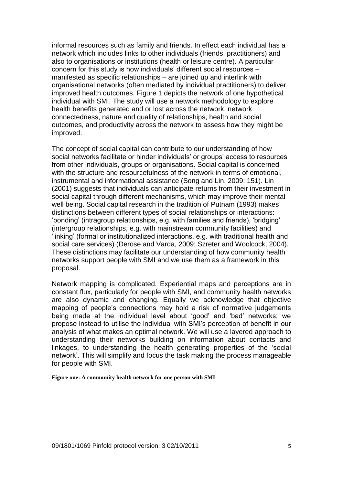informal resources such as family and friends. In effect each individual has a network which includes links to other individuals (friends, practitioners) and also to organisations or institutions (health or leisure centre). A particular concern for this study is how individuals" different social resources – manifested as specific relationships – are joined up and interlink with organisational networks (often mediated by individual practitioners) to deliver improved health outcomes. Figure 1 depicts the network of one hypothetical individual with SMI. The study will use a network methodology to explore health benefits generated and or lost across the network, network connectedness, nature and quality of relationships, health and social outcomes, and productivity across the network to assess how they might be improved.

The concept of social capital can contribute to our understanding of how social networks facilitate or hinder individuals" or groups" access to resources from other individuals, groups or organisations. Social capital is concerned with the structure and resourcefulness of the network in terms of emotional. instrumental and informational assistance (Song and Lin, 2009: 151). Lin (2001) suggests that individuals can anticipate returns from their investment in social capital through different mechanisms, which may improve their mental well being. Social capital research in the tradition of Putnam (1993) makes distinctions between different types of social relationships or interactions: "bonding" (intragroup relationships, e.g. with families and friends), "bridging" (intergroup relationships, e.g. with mainstream community facilities) and "linking" (formal or institutionalized interactions, e.g. with traditional health and social care services) (Derose and Varda, 2009; Szreter and Woolcock, 2004). These distinctions may facilitate our understanding of how community health networks support people with SMI and we use them as a framework in this proposal.

Network mapping is complicated. Experiential maps and perceptions are in constant flux, particularly for people with SMI, and community health networks are also dynamic and changing. Equally we acknowledge that objective mapping of people"s connections may hold a risk of normative judgements being made at the individual level about "good" and "bad" networks; we propose instead to utilise the individual with SMI"s perception of benefit in our analysis of what makes an optimal network. We will use a layered approach to understanding their networks building on information about contacts and linkages, to understanding the health generating properties of the "social network". This will simplify and focus the task making the process manageable for people with SMI.

**Figure one: A community health network for one person with SMI**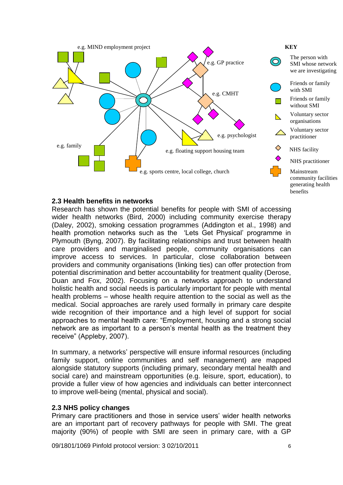

### **2.3 Health benefits in networks**

Research has shown the potential benefits for people with SMI of accessing wider health networks (Bird, 2000) including community exercise therapy (Daley, 2002), smoking cessation programmes (Addington et al., 1998) and health promotion networks such as the "Lets Get Physical" programme in Plymouth (Byng, 2007). By facilitating relationships and trust between health care providers and marginalised people, community organisations can improve access to services. In particular, close collaboration between providers and community organisations (linking ties) can offer protection from potential discrimination and better accountability for treatment quality (Derose, Duan and Fox, 2002). Focusing on a networks approach to understand holistic health and social needs is particularly important for people with mental health problems – whose health require attention to the social as well as the medical. Social approaches are rarely used formally in primary care despite wide recognition of their importance and a high level of support for social approaches to mental health care: "Employment, housing and a strong social network are as important to a person's mental health as the treatment they receive" (Appleby, 2007).

In summary, a networks" perspective will ensure informal resources (including family support, online communities and self management) are mapped alongside statutory supports (including primary, secondary mental health and social care) and mainstream opportunities (e.g. leisure, sport, education), to provide a fuller view of how agencies and individuals can better interconnect to improve well-being (mental, physical and social).

### **2.3 NHS policy changes**

Primary care practitioners and those in service users' wider health networks are an important part of recovery pathways for people with SMI. The great majority (90%) of people with SMI are seen in primary care, with a GP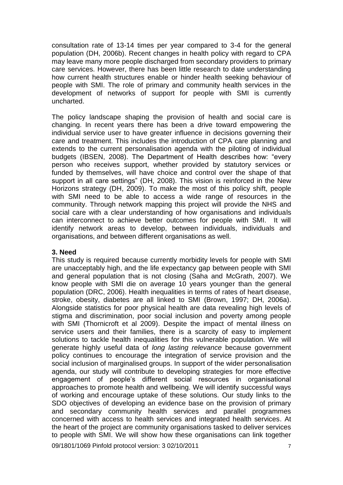consultation rate of 13-14 times per year compared to 3-4 for the general population (DH, 2006b). Recent changes in health policy with regard to CPA may leave many more people discharged from secondary providers to primary care services. However, there has been little research to date understanding how current health structures enable or hinder health seeking behaviour of people with SMI. The role of primary and community health services in the development of networks of support for people with SMI is currently uncharted.

The policy landscape shaping the provision of health and social care is changing. In recent years there has been a drive toward empowering the individual service user to have greater influence in decisions governing their care and treatment. This includes the introduction of CPA care planning and extends to the current personalisation agenda with the piloting of individual budgets (IBSEN, 2008). The Department of Health describes how: "every person who receives support, whether provided by statutory services or funded by themselves, will have choice and control over the shape of that support in all care settings" (DH, 2008). This vision is reinforced in the New Horizons strategy (DH, 2009). To make the most of this policy shift, people with SMI need to be able to access a wide range of resources in the community. Through network mapping this project will provide the NHS and social care with a clear understanding of how organisations and individuals can interconnect to achieve better outcomes for people with SMI. It will identify network areas to develop, between individuals, individuals and organisations, and between different organisations as well.

### **3. Need**

This study is required because currently morbidity levels for people with SMI are unacceptably high, and the life expectancy gap between people with SMI and general population that is not closing (Saha and McGrath, 2007). We know people with SMI die on average 10 years younger than the general population (DRC, 2006). Health inequalities in terms of rates of heart disease, stroke, obesity, diabetes are all linked to SMI (Brown, 1997; DH, 2006a). Alongside statistics for poor physical health are data revealing high levels of stigma and discrimination, poor social inclusion and poverty among people with SMI (Thornicroft et al 2009). Despite the impact of mental illness on service users and their families, there is a scarcity of easy to implement solutions to tackle health inequalities for this vulnerable population. We will generate highly useful data of *long lasting relevance* because government policy continues to encourage the integration of service provision and the social inclusion of marginalised groups. In support of the wider personalisation agenda, our study will contribute to developing strategies for more effective engagement of people"s different social resources in organisational approaches to promote health and wellbeing. We will identify successful ways of working and encourage uptake of these solutions. Our study links to the SDO objectives of developing an evidence base on the provision of primary and secondary community health services and parallel programmes concerned with access to health services and integrated health services. At the heart of the project are community organisations tasked to deliver services to people with SMI. We will show how these organisations can link together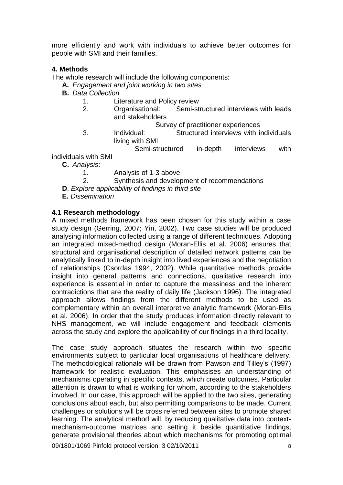more efficiently and work with individuals to achieve better outcomes for people with SMI and their families.

# **4. Methods**

The whole research will include the following components:

- **A.** *Engagement and joint working in two sites*
- **B.** *Data Collection*
	- 1. Literature and Policy review
	- 2. Organisational: Semi-structured interviews with leads and stakeholders

Survey of practitioner experiences

- 3. Individual: Structured interviews with individuals living with SMI
- Semi-structured in-depth interviews with individuals with SMI
	- **C.** *Analysis*:
		- 1. Analysis of 1-3 above
		- 2. Synthesis and development of recommendations
	- **D**. *Explore applicability of findings in third site*
	- **E.** *Dissemination*

### **4.1 Research methodology**

A mixed methods framework has been chosen for this study within a case study design (Gerring, 2007; Yin, 2002). Two case studies will be produced analysing information collected using a range of different techniques. Adopting an integrated mixed-method design (Moran-Ellis et al. 2006) ensures that structural and organisational description of detailed network patterns can be analytically linked to in-depth insight into lived experiences and the negotiation of relationships (Csordas 1994, 2002). While quantitative methods provide insight into general patterns and connections, qualitative research into experience is essential in order to capture the messiness and the inherent contradictions that are the reality of daily life (Jackson 1996). The integrated approach allows findings from the different methods to be used as complementary within an overall interpretive analytic framework (Moran-Ellis et al. 2006). In order that the study produces information directly relevant to NHS management, we will include engagement and feedback elements across the study and explore the applicability of our findings in a third locality.

The case study approach situates the research within two specific environments subject to particular local organisations of healthcare delivery. The methodological rationale will be drawn from Pawson and Tilley"s (1997) framework for realistic evaluation. This emphasises an understanding of mechanisms operating in specific contexts, which create outcomes. Particular attention is drawn to what is working for whom, according to the stakeholders involved. In our case, this approach will be applied to the two sites, generating conclusions about each, but also permitting comparisons to be made. Current challenges or solutions will be cross referred between sites to promote shared learning. The analytical method will, by reducing qualitative data into contextmechanism-outcome matrices and setting it beside quantitative findings, generate provisional theories about which mechanisms for promoting optimal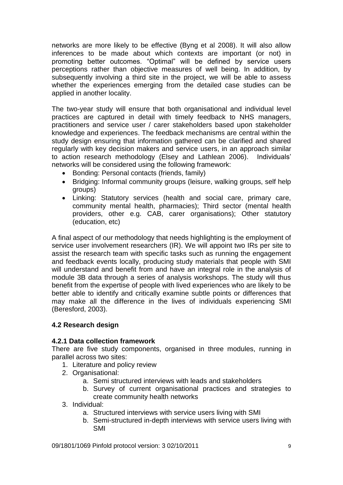networks are more likely to be effective (Byng et al 2008). It will also allow inferences to be made about which contexts are important (or not) in promoting better outcomes. "Optimal" will be defined by service users perceptions rather than objective measures of well being. In addition, by subsequently involving a third site in the project, we will be able to assess whether the experiences emerging from the detailed case studies can be applied in another locality.

The two-year study will ensure that both organisational and individual level practices are captured in detail with timely feedback to NHS managers, practitioners and service user / carer stakeholders based upon stakeholder knowledge and experiences. The feedback mechanisms are central within the study design ensuring that information gathered can be clarified and shared regularly with key decision makers and service users, in an approach similar to action research methodology (Elsey and Lathlean 2006). Individuals" networks will be considered using the following framework:

- Bonding: Personal contacts (friends, family)
- Bridging: Informal community groups (leisure, walking groups, self help groups)
- Linking: Statutory services (health and social care, primary care, community mental health, pharmacies); Third sector (mental health providers, other e.g. CAB, carer organisations); Other statutory (education, etc)

A final aspect of our methodology that needs highlighting is the employment of service user involvement researchers (IR). We will appoint two IRs per site to assist the research team with specific tasks such as running the engagement and feedback events locally, producing study materials that people with SMI will understand and benefit from and have an integral role in the analysis of module 3B data through a series of analysis workshops. The study will thus benefit from the expertise of people with lived experiences who are likely to be better able to identify and critically examine subtle points or differences that may make all the difference in the lives of individuals experiencing SMI (Beresford, 2003).

### **4.2 Research design**

### **4.2.1 Data collection framework**

There are five study components, organised in three modules, running in parallel across two sites:

- 1. Literature and policy review
- 2. Organisational:
	- a. Semi structured interviews with leads and stakeholders
	- b. Survey of current organisational practices and strategies to create community health networks
- 3. Individual:
	- a. Structured interviews with service users living with SMI
	- b. Semi-structured in-depth interviews with service users living with SMI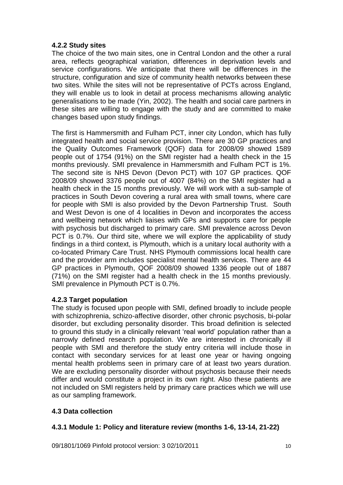# **4.2.2 Study sites**

The choice of the two main sites, one in Central London and the other a rural area, reflects geographical variation, differences in deprivation levels and service configurations. We anticipate that there will be differences in the structure, configuration and size of community health networks between these two sites. While the sites will not be representative of PCTs across England, they will enable us to look in detail at process mechanisms allowing analytic generalisations to be made (Yin, 2002). The health and social care partners in these sites are willing to engage with the study and are committed to make changes based upon study findings.

The first is Hammersmith and Fulham PCT, inner city London, which has fully integrated health and social service provision. There are 30 GP practices and the Quality Outcomes Framework (QOF) data for 2008/09 showed 1589 people out of 1754 (91%) on the SMI register had a health check in the 15 months previously. SMI prevalence in Hammersmith and Fulham PCT is 1%. The second site is NHS Devon (Devon PCT) with 107 GP practices. QOF 2008/09 showed 3376 people out of 4007 (84%) on the SMI register had a health check in the 15 months previously. We will work with a sub-sample of practices in South Devon covering a rural area with small towns, where care for people with SMI is also provided by the Devon Partnership Trust. South and West Devon is one of 4 localities in Devon and incorporates the access and wellbeing network which liaises with GPs and supports care for people with psychosis but discharged to primary care. SMI prevalence across Devon PCT is 0.7%. Our third site, where we will explore the applicability of study findings in a third context, is Plymouth, which is a unitary local authority with a co-located Primary Care Trust. NHS Plymouth commissions local health care and the provider arm includes specialist mental health services. There are 44 GP practices in Plymouth, QOF 2008/09 showed 1336 people out of 1887 (71%) on the SMI register had a health check in the 15 months previously. SMI prevalence in Plymouth PCT is 0.7%.

# **4.2.3 Target population**

The study is focused upon people with SMI, defined broadly to include people with schizophrenia, schizo-affective disorder, other chronic psychosis, bi-polar disorder, but excluding personality disorder. This broad definition is selected to ground this study in a clinically relevant "real world" population rather than a narrowly defined research population. We are interested in chronically ill people with SMI and therefore the study entry criteria will include those in contact with secondary services for at least one year or having ongoing mental health problems seen in primary care of at least two years duration. We are excluding personality disorder without psychosis because their needs differ and would constitute a project in its own right. Also these patients are not included on SMI registers held by primary care practices which we will use as our sampling framework.

# **4.3 Data collection**

# **4.3.1 Module 1: Policy and literature review (months 1-6, 13-14, 21-22)**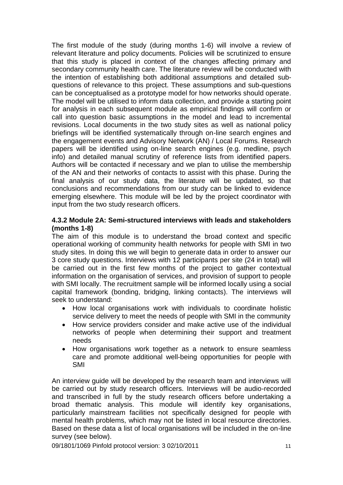The first module of the study (during months 1-6) will involve a review of relevant literature and policy documents. Policies will be scrutinized to ensure that this study is placed in context of the changes affecting primary and secondary community health care. The literature review will be conducted with the intention of establishing both additional assumptions and detailed subquestions of relevance to this project. These assumptions and sub-questions can be conceptualised as a prototype model for how networks should operate. The model will be utilised to inform data collection, and provide a starting point for analysis in each subsequent module as empirical findings will confirm or call into question basic assumptions in the model and lead to incremental revisions. Local documents in the two study sites as well as national policy briefings will be identified systematically through on-line search engines and the engagement events and Advisory Network (AN) / Local Forums. Research papers will be identified using on-line search engines (e.g. medline, psych info) and detailed manual scrutiny of reference lists from identified papers. Authors will be contacted if necessary and we plan to utilise the membership of the AN and their networks of contacts to assist with this phase. During the final analysis of our study data, the literature will be updated, so that conclusions and recommendations from our study can be linked to evidence emerging elsewhere. This module will be led by the project coordinator with input from the two study research officers.

### **4.3.2 Module 2A: Semi-structured interviews with leads and stakeholders (months 1-8)**

The aim of this module is to understand the broad context and specific operational working of community health networks for people with SMI in two study sites. In doing this we will begin to generate data in order to answer our 3 core study questions. Interviews with 12 participants per site (24 in total) will be carried out in the first few months of the project to gather contextual information on the organisation of services, and provision of support to people with SMI locally. The recruitment sample will be informed locally using a social capital framework (bonding, bridging, linking contacts). The interviews will seek to understand:

- How local organisations work with individuals to coordinate holistic service delivery to meet the needs of people with SMI in the community
- How service providers consider and make active use of the individual networks of people when determining their support and treatment needs
- How organisations work together as a network to ensure seamless care and promote additional well-being opportunities for people with SMI

An interview guide will be developed by the research team and interviews will be carried out by study research officers. Interviews will be audio-recorded and transcribed in full by the study research officers before undertaking a broad thematic analysis. This module will identify key organisations, particularly mainstream facilities not specifically designed for people with mental health problems, which may not be listed in local resource directories. Based on these data a list of local organisations will be included in the on-line survey (see below).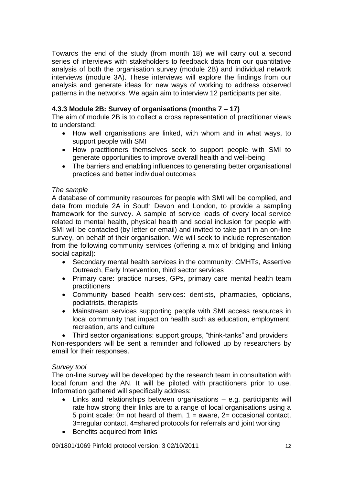Towards the end of the study (from month 18) we will carry out a second series of interviews with stakeholders to feedback data from our quantitative analysis of both the organisation survey (module 2B) and individual network interviews (module 3A). These interviews will explore the findings from our analysis and generate ideas for new ways of working to address observed patterns in the networks. We again aim to interview 12 participants per site.

# **4.3.3 Module 2B: Survey of organisations (months 7 – 17)**

The aim of module 2B is to collect a cross representation of practitioner views to understand:

- How well organisations are linked, with whom and in what ways, to support people with SMI
- How practitioners themselves seek to support people with SMI to generate opportunities to improve overall health and well-being
- The barriers and enabling influences to generating better organisational practices and better individual outcomes

## *The sample*

A database of community resources for people with SMI will be complied, and data from module 2A in South Devon and London, to provide a sampling framework for the survey. A sample of service leads of every local service related to mental health, physical health and social inclusion for people with SMI will be contacted (by letter or email) and invited to take part in an on-line survey, on behalf of their organisation. We will seek to include representation from the following community services (offering a mix of bridging and linking social capital):

- Secondary mental health services in the community: CMHTs, Assertive Outreach, Early Intervention, third sector services
- Primary care: practice nurses, GPs, primary care mental health team practitioners
- Community based health services: dentists, pharmacies, opticians, podiatrists, therapists
- Mainstream services supporting people with SMI access resources in local community that impact on health such as education, employment, recreation, arts and culture

• Third sector organisations: support groups, "think-tanks" and providers Non-responders will be sent a reminder and followed up by researchers by email for their responses.

### *Survey tool*

The on-line survey will be developed by the research team in consultation with local forum and the AN. It will be piloted with practitioners prior to use. Information gathered will specifically address:

- Links and relationships between organisations e.g. participants will rate how strong their links are to a range of local organisations using a 5 point scale:  $0=$  not heard of them,  $1=$  aware,  $2=$  occasional contact, 3=regular contact, 4=shared protocols for referrals and joint working
- Benefits acquired from links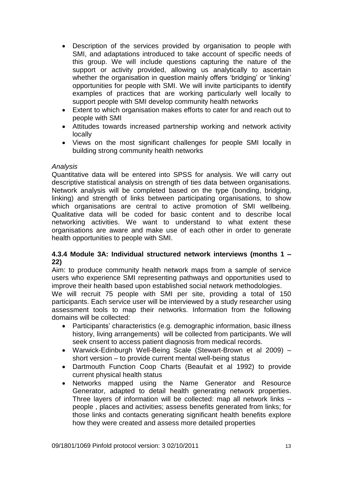- Description of the services provided by organisation to people with SMI, and adaptations introduced to take account of specific needs of this group. We will include questions capturing the nature of the support or activity provided, allowing us analytically to ascertain whether the organisation in question mainly offers 'bridging' or 'linking' opportunities for people with SMI. We will invite participants to identify examples of practices that are working particularly well locally to support people with SMI develop community health networks
- Extent to which organisation makes efforts to cater for and reach out to people with SMI
- Attitudes towards increased partnership working and network activity locally
- Views on the most significant challenges for people SMI locally in building strong community health networks

### *Analysis*

Quantitative data will be entered into SPSS for analysis. We will carry out descriptive statistical analysis on strength of ties data between organisations. Network analysis will be completed based on the type (bonding, bridging, linking) and strength of links between participating organisations, to show which organisations are central to active promotion of SMI wellbeing. Qualitative data will be coded for basic content and to describe local networking activities. We want to understand to what extent these organisations are aware and make use of each other in order to generate health opportunities to people with SMI.

## **4.3.4 Module 3A: Individual structured network interviews (months 1 – 22)**

Aim: to produce community health network maps from a sample of service users who experience SMI representing pathways and opportunities used to improve their health based upon established social network methodologies.

We will recruit 75 people with SMI per site, providing a total of 150 participants. Each service user will be interviewed by a study researcher using assessment tools to map their networks. Information from the following domains will be collected:

- Participants' characteristics (e.g. demographic information, basic illness history, living arrangements) will be collected from participants. We will seek cnsent to access patient diagnosis from medical records.
- Warwick-Edinburgh Well-Being Scale (Stewart-Brown et al 2009) short version – to provide current mental well-being status
- Dartmouth Function Coop Charts (Beaufait et al 1992) to provide current physical health status
- Networks mapped using the Name Generator and Resource Generator, adapted to detail health generating network properties. Three layers of information will be collected: map all network links – people , places and activities; assess benefits generated from links; for those links and contacts generating significant health benefits explore how they were created and assess more detailed properties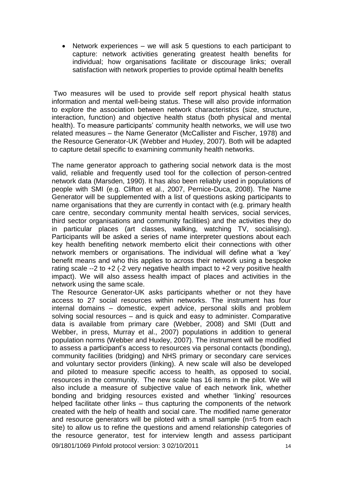• Network experiences – we will ask 5 questions to each participant to capture: network activities generating greatest health benefits for individual; how organisations facilitate or discourage links; overall satisfaction with network properties to provide optimal health benefits

Two measures will be used to provide self report physical health status information and mental well-being status. These will also provide information to explore the association between network characteristics (size, structure, interaction, function) and objective health status (both physical and mental health). To measure participants' community health networks, we will use two related measures – the Name Generator (McCallister and Fischer, 1978) and the Resource Generator-UK (Webber and Huxley, 2007). Both will be adapted to capture detail specific to examining community health networks.

The name generator approach to gathering social network data is the most valid, reliable and frequently used tool for the collection of person-centred network data (Marsden, 1990). It has also been reliably used in populations of people with SMI (e.g. Clifton et al., 2007, Pernice-Duca, 2008). The Name Generator will be supplemented with a list of questions asking participants to name organisations that they are currently in contact with (e.g. primary health care centre, secondary community mental health services, social services, third sector organisations and community facilities) and the activities they do in particular places (art classes, walking, watching TV, socialising). Participants will be asked a series of name interpreter questions about each key health benefiting network memberto elicit their connections with other network members or organisations. The individual will define what a "key" benefit means and who this applies to across their network using a bespoke rating scale --2 to +2 (-2 very negative health impact to +2 very positive health impact). We will also assess health impact of places and activities in the network using the same scale.

09/1801/1069 Pinfold protocol version: 3 02/10/2011 The Resource Generator-UK asks participants whether or not they have access to 27 social resources within networks. The instrument has four internal domains – domestic, expert advice, personal skills and problem solving social resources – and is quick and easy to administer. Comparative data is available from primary care (Webber, 2008) and SMI (Dutt and Webber, in press, Murray et al., 2007) populations in addition to general population norms (Webber and Huxley, 2007). The instrument will be modified to assess a participant"s access to resources via personal contacts (bonding), community facilities (bridging) and NHS primary or secondary care services and voluntary sector providers (linking). A new scale will also be developed and piloted to measure specific access to health, as opposed to social, resources in the community. The new scale has 16 items in the pilot. We will also include a measure of subjective value of each network link, whether bonding and bridging resources existed and whether "linking" resources helped facilitate other links – thus capturing the components of the network created with the help of health and social care. The modified name generator and resource generators will be piloted with a small sample (n=5 from each site) to allow us to refine the questions and amend relationship categories of the resource generator, test for interview length and assess participant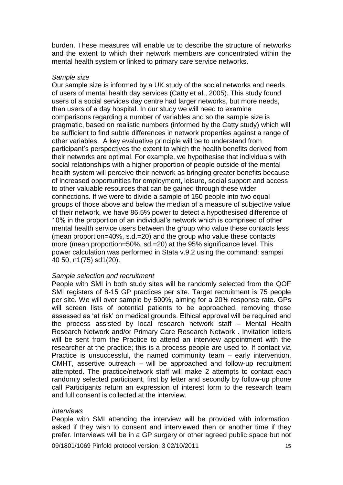burden. These measures will enable us to describe the structure of networks and the extent to which their network members are concentrated within the mental health system or linked to primary care service networks.

#### *Sample size*

Our sample size is informed by a UK study of the social networks and needs of users of mental health day services (Catty et al., 2005). This study found users of a social services day centre had larger networks, but more needs, than users of a day hospital. In our study we will need to examine comparisons regarding a number of variables and so the sample size is pragmatic, based on realistic numbers (informed by the Catty study) which will be sufficient to find subtle differences in network properties against a range of other variables. A key evaluative principle will be to understand from participant"s perspectives the extent to which the health benefits derived from their networks are optimal. For example, we hypothesise that individuals with social relationships with a higher proportion of people outside of the mental health system will perceive their network as bringing greater benefits because of increased opportunities for employment, leisure, social support and access to other valuable resources that can be gained through these wider connections. If we were to divide a sample of 150 people into two equal groups of those above and below the median of a measure of subjective value of their network, we have 86.5% power to detect a hypothesised difference of 10% in the proportion of an individual"s network which is comprised of other mental health service users between the group who value these contacts less (mean proportion=40%, s.d.=20) and the group who value these contacts more (mean proportion=50%, sd.=20) at the 95% significance level. This power calculation was performed in Stata v.9.2 using the command: sampsi 40 50, n1(75) sd1(20).

#### *Sample selection and recruitment*

People with SMI in both study sites will be randomly selected from the QOF SMI registers of 8-15 GP practices per site. Target recruitment is 75 people per site. We will over sample by 500%, aiming for a 20% response rate. GPs will screen lists of potential patients to be approached, removing those assessed as "at risk" on medical grounds. Ethical approval will be required and the process assisted by local research network staff – Mental Health Research Network and/or Primary Care Research Network . Invitation letters will be sent from the Practice to attend an interview appointment with the researcher at the practice; this is a process people are used to. If contact via Practice is unsuccessful, the named community team – early intervention, CMHT, assertive outreach – will be approached and follow-up recruitment attempted. The practice/network staff will make 2 attempts to contact each randomly selected participant, first by letter and secondly by follow-up phone call Participants return an expression of interest form to the research team and full consent is collected at the interview.

#### *Interviews*

People with SMI attending the interview will be provided with information, asked if they wish to consent and interviewed then or another time if they prefer. Interviews will be in a GP surgery or other agreed public space but not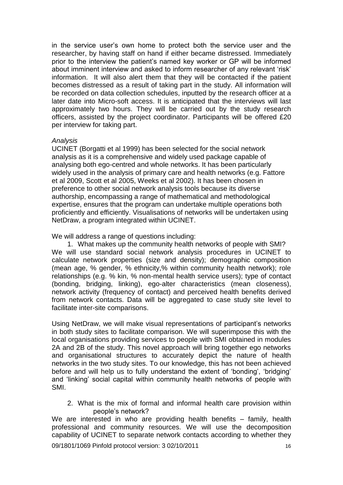in the service user's own home to protect both the service user and the researcher, by having staff on hand if either became distressed. Immediately prior to the interview the patient"s named key worker or GP will be informed about imminent interview and asked to inform researcher of any relevant 'risk' information. It will also alert them that they will be contacted if the patient becomes distressed as a result of taking part in the study. All information will be recorded on data collection schedules, inputted by the research officer at a later date into Micro-soft access. It is anticipated that the interviews will last approximately two hours. They will be carried out by the study research officers, assisted by the project coordinator. Participants will be offered £20 per interview for taking part.

### *Analysis*

UCINET (Borgatti et al 1999) has been selected for the social network analysis as it is a comprehensive and widely used package capable of analysing both ego-centred and whole networks. It has been particularly widely used in the analysis of primary care and health networks (e.g. Fattore et al 2009, Scott et al 2005, Weeks et al 2002). It has been chosen in preference to other social network analysis tools because its diverse authorship, encompassing a range of mathematical and methodological expertise, ensures that the program can undertake multiple operations both proficiently and efficiently. Visualisations of networks will be undertaken using NetDraw, a program integrated within UCINET.

We will address a range of questions including:

1. What makes up the community health networks of people with SMI? We will use standard social network analysis procedures in UCINET to calculate network properties (size and density); demographic composition (mean age, % gender, % ethnicity,% within community health network); role relationships (e.g. % kin, % non-mental health service users); type of contact (bonding, bridging, linking), ego-alter characteristics (mean closeness), network activity (frequency of contact) and perceived health benefits derived from network contacts. Data will be aggregated to case study site level to facilitate inter-site comparisons.

Using NetDraw, we will make visual representations of participant"s networks in both study sites to facilitate comparison. We will superimpose this with the local organisations providing services to people with SMI obtained in modules 2A and 2B of the study. This novel approach will bring together ego networks and organisational structures to accurately depict the nature of health networks in the two study sites. To our knowledge, this has not been achieved before and will help us to fully understand the extent of 'bonding', 'bridging' and "linking" social capital within community health networks of people with SMI.

2. What is the mix of formal and informal health care provision within people"s network?

We are interested in who are providing health benefits – family, health professional and community resources. We will use the decomposition capability of UCINET to separate network contacts according to whether they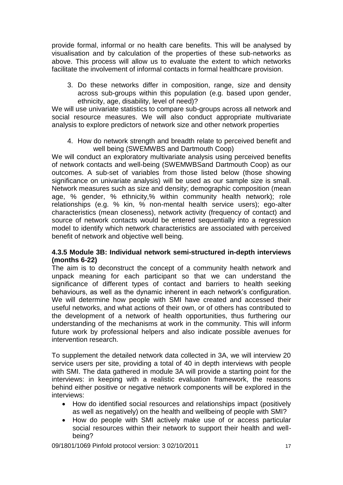provide formal, informal or no health care benefits. This will be analysed by visualisation and by calculation of the properties of these sub-networks as above. This process will allow us to evaluate the extent to which networks facilitate the involvement of informal contacts in formal healthcare provision.

3. Do these networks differ in composition, range, size and density across sub-groups within this population (e.g. based upon gender, ethnicity, age, disability, level of need)?

We will use univariate statistics to compare sub-groups across all network and social resource measures. We will also conduct appropriate multivariate analysis to explore predictors of network size and other network properties

4. How do network strength and breadth relate to perceived benefit and well being (SWEMWBS and Dartmouth Coop)

We will conduct an exploratory multivariate analysis using perceived benefits of network contacts and well-being (SWEMWBSand Dartmouth Coop) as our outcomes. A sub-set of variables from those listed below (those showing significance on univariate analysis) will be used as our sample size is small. Network measures such as size and density; demographic composition (mean age, % gender, % ethnicity,% within community health network); role relationships (e.g. % kin, % non-mental health service users); ego-alter characteristics (mean closeness), network activity (frequency of contact) and source of network contacts would be entered sequentially into a regression model to identify which network characteristics are associated with perceived benefit of network and objective well being.

### **4.3.5 Module 3B: Individual network semi-structured in-depth interviews (months 6-22)**

The aim is to deconstruct the concept of a community health network and unpack meaning for each participant so that we can understand the significance of different types of contact and barriers to health seeking behaviours, as well as the dynamic inherent in each network's configuration. We will determine how people with SMI have created and accessed their useful networks, and what actions of their own, or of others has contributed to the development of a network of health opportunities, thus furthering our understanding of the mechanisms at work in the community. This will inform future work by professional helpers and also indicate possible avenues for intervention research.

To supplement the detailed network data collected in 3A, we will interview 20 service users per site, providing a total of 40 in depth interviews with people with SMI. The data gathered in module 3A will provide a starting point for the interviews: in keeping with a realistic evaluation framework, the reasons behind either positive or negative network components will be explored in the interviews:

- How do identified social resources and relationships impact (positively as well as negatively) on the health and wellbeing of people with SMI?
- How do people with SMI actively make use of or access particular social resources within their network to support their health and wellbeing?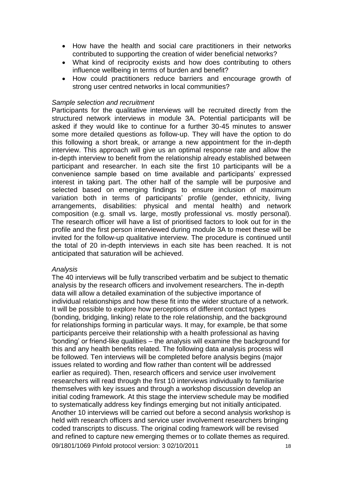- How have the health and social care practitioners in their networks contributed to supporting the creation of wider beneficial networks?
- What kind of reciprocity exists and how does contributing to others influence wellbeing in terms of burden and benefit?
- How could practitioners reduce barriers and encourage growth of strong user centred networks in local communities?

### *Sample selection and recruitment*

Participants for the qualitative interviews will be recruited directly from the structured network interviews in module 3A. Potential participants will be asked if they would like to continue for a further 30-45 minutes to answer some more detailed questions as follow-up. They will have the option to do this following a short break, or arrange a new appointment for the in-depth interview. This approach will give us an optimal response rate and allow the in-depth interview to benefit from the relationship already established between participant and researcher. In each site the first 10 participants will be a convenience sample based on time available and participants" expressed interest in taking part. The other half of the sample will be purposive and selected based on emerging findings to ensure inclusion of maximum variation both in terms of participants' profile (gender, ethnicity, living arrangements, disabilities: physical and mental health) and network composition (e.g. small vs. large, mostly professional vs. mostly personal). The research officer will have a list of prioritised factors to look out for in the profile and the first person interviewed during module 3A to meet these will be invited for the follow-up qualitative interview. The procedure is continued until the total of 20 in-depth interviews in each site has been reached. It is not anticipated that saturation will be achieved.

### *Analysis*

09/1801/1069 Pinfold protocol version: 3 02/10/2011 The 40 interviews will be fully transcribed verbatim and be subject to thematic analysis by the research officers and involvement researchers. The in-depth data will allow a detailed examination of the subjective importance of individual relationships and how these fit into the wider structure of a network. It will be possible to explore how perceptions of different contact types (bonding, bridging, linking) relate to the role relationship, and the background for relationships forming in particular ways. It may, for example, be that some participants perceive their relationship with a health professional as having "bonding" or friend-like qualities – the analysis will examine the background for this and any health benefits related. The following data analysis process will be followed. Ten interviews will be completed before analysis begins (major issues related to wording and flow rather than content will be addressed earlier as required). Then, research officers and service user involvement researchers will read through the first 10 interviews individually to familiarise themselves with key issues and through a workshop discussion develop an initial coding framework. At this stage the interview schedule may be modified to systematically address key findings emerging but not initially anticipated. Another 10 interviews will be carried out before a second analysis workshop is held with research officers and service user involvement researchers bringing coded transcripts to discuss. The original coding framework will be revised and refined to capture new emerging themes or to collate themes as required.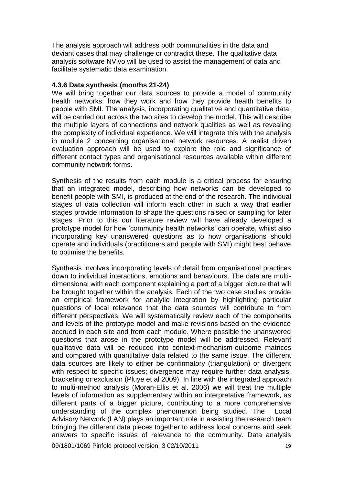The analysis approach will address both communalities in the data and deviant cases that may challenge or contradict these. The qualitative data analysis software NVivo will be used to assist the management of data and facilitate systematic data examination.

### **4.3.6 Data synthesis (months 21-24)**

We will bring together our data sources to provide a model of community health networks; how they work and how they provide health benefits to people with SMI. The analysis, incorporating qualitative and quantitative data, will be carried out across the two sites to develop the model. This will describe the multiple layers of connections and network qualities as well as revealing the complexity of individual experience. We will integrate this with the analysis in module 2 concerning organisational network resources. A realist driven evaluation approach will be used to explore the role and significance of different contact types and organisational resources available within different community network forms.

Synthesis of the results from each module is a critical process for ensuring that an integrated model, describing how networks can be developed to benefit people with SMI, is produced at the end of the research. The individual stages of data collection will inform each other in such a way that earlier stages provide information to shape the questions raised or sampling for later stages. Prior to this our literature review will have already developed a prototype model for how "community health networks" can operate, whilst also incorporating key unanswered questions as to how organisations should operate and individuals (practitioners and people with SMI) might best behave to optimise the benefits.

Synthesis involves incorporating levels of detail from organisational practices down to individual interactions, emotions and behaviours. The data are multidimensional with each component explaining a part of a bigger picture that will be brought together within the analysis. Each of the two case studies provide an empirical framework for analytic integration by highlighting particular questions of local relevance that the data sources will contribute to from different perspectives. We will systematically review each of the components and levels of the prototype model and make revisions based on the evidence accrued in each site and from each module. Where possible the unanswered questions that arose in the prototype model will be addressed. Relevant qualitative data will be reduced into context-mechanism-outcome matrices and compared with quantitative data related to the same issue. The different data sources are likely to either be confirmatory (triangulation) or divergent with respect to specific issues; divergence may require further data analysis, bracketing or exclusion (Pluye et al 2009). In line with the integrated approach to multi-method analysis (Moran-Ellis et al. 2006) we will treat the multiple levels of information as supplementary within an interpretative framework, as different parts of a bigger picture, contributing to a more comprehensive understanding of the complex phenomenon being studied. The Local Advisory Network (LAN) plays an important role in assisting the research team bringing the different data pieces together to address local concerns and seek answers to specific issues of relevance to the community. Data analysis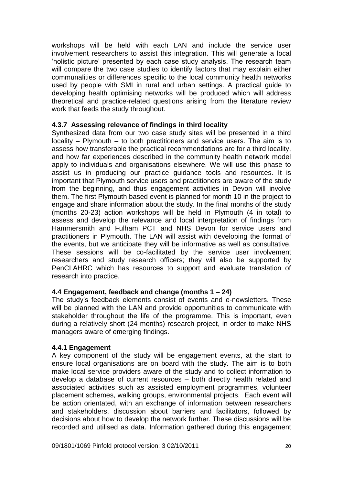workshops will be held with each LAN and include the service user involvement researchers to assist this integration. This will generate a local "holistic picture" presented by each case study analysis. The research team will compare the two case studies to identify factors that may explain either communalities or differences specific to the local community health networks used by people with SMI in rural and urban settings. A practical guide to developing health optimising networks will be produced which will address theoretical and practice-related questions arising from the literature review work that feeds the study throughout.

## **4.3.7 Assessing relevance of findings in third locality**

Synthesized data from our two case study sites will be presented in a third locality – Plymouth – to both practitioners and service users. The aim is to assess how transferable the practical recommendations are for a third locality, and how far experiences described in the community health network model apply to individuals and organisations elsewhere. We will use this phase to assist us in producing our practice guidance tools and resources. It is important that Plymouth service users and practitioners are aware of the study from the beginning, and thus engagement activities in Devon will involve them. The first Plymouth based event is planned for month 10 in the project to engage and share information about the study. In the final months of the study (months 20-23) action workshops will be held in Plymouth (4 in total) to assess and develop the relevance and local interpretation of findings from Hammersmith and Fulham PCT and NHS Devon for service users and practitioners in Plymouth. The LAN will assist with developing the format of the events, but we anticipate they will be informative as well as consultative. These sessions will be co-facilitated by the service user involvement researchers and study research officers; they will also be supported by PenCLAHRC which has resources to support and evaluate translation of research into practice.

# **4.4 Engagement, feedback and change (months 1 – 24)**

The study"s feedback elements consist of events and e-newsletters. These will be planned with the LAN and provide opportunities to communicate with stakeholder throughout the life of the programme. This is important, even during a relatively short (24 months) research project, in order to make NHS managers aware of emerging findings.

### **4.4.1 Engagement**

A key component of the study will be engagement events, at the start to ensure local organisations are on board with the study. The aim is to both make local service providers aware of the study and to collect information to develop a database of current resources – both directly health related and associated activities such as assisted employment programmes, volunteer placement schemes, walking groups, environmental projects. Each event will be action orientated, with an exchange of information between researchers and stakeholders, discussion about barriers and facilitators, followed by decisions about how to develop the network further. These discussions will be recorded and utilised as data. Information gathered during this engagement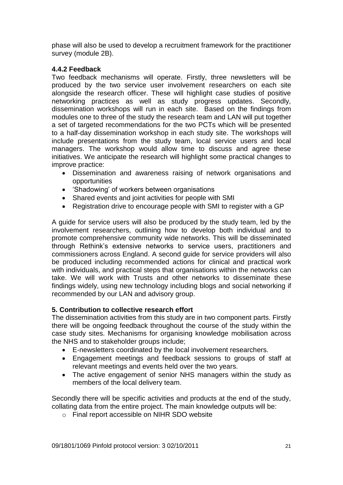phase will also be used to develop a recruitment framework for the practitioner survey (module 2B).

# **4.4.2 Feedback**

Two feedback mechanisms will operate. Firstly, three newsletters will be produced by the two service user involvement researchers on each site alongside the research officer. These will highlight case studies of positive networking practices as well as study progress updates. Secondly, dissemination workshops will run in each site. Based on the findings from modules one to three of the study the research team and LAN will put together a set of targeted recommendations for the two PCTs which will be presented to a half-day dissemination workshop in each study site. The workshops will include presentations from the study team, local service users and local managers. The workshop would allow time to discuss and agree these initiatives. We anticipate the research will highlight some practical changes to improve practice:

- Dissemination and awareness raising of network organisations and opportunities
- 'Shadowing' of workers between organisations
- Shared events and joint activities for people with SMI
- Registration drive to encourage people with SMI to register with a GP

A guide for service users will also be produced by the study team, led by the involvement researchers, outlining how to develop both individual and to promote comprehensive community wide networks. This will be disseminated through Rethink"s extensive networks to service users, practitioners and commissioners across England. A second guide for service providers will also be produced including recommended actions for clinical and practical work with individuals, and practical steps that organisations within the networks can take. We will work with Trusts and other networks to disseminate these findings widely, using new technology including blogs and social networking if recommended by our LAN and advisory group.

### **5. Contribution to collective research effort**

The dissemination activities from this study are in two component parts. Firstly there will be ongoing feedback throughout the course of the study within the case study sites. Mechanisms for organising knowledge mobilisation across the NHS and to stakeholder groups include;

- E-newsletters coordinated by the local involvement researchers.
- Engagement meetings and feedback sessions to groups of staff at relevant meetings and events held over the two years.
- The active engagement of senior NHS managers within the study as members of the local delivery team.

Secondly there will be specific activities and products at the end of the study, collating data from the entire project. The main knowledge outputs will be:

o Final report accessible on NIHR SDO website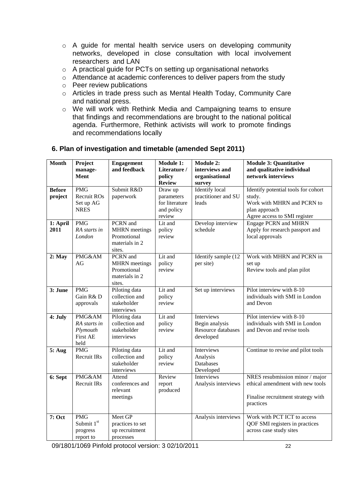- o A guide for mental health service users on developing community networks, developed in close consultation with local involvement researchers and LAN
- o A practical guide for PCTs on setting up organisational networks
- o Attendance at academic conferences to deliver papers from the study
- o Peer review publications
- o Articles in trade press such as Mental Health Today, Community Care and national press.
- o We will work with Rethink Media and Campaigning teams to ensure that findings and recommendations are brought to the national political agenda. Furthermore, Rethink activists will work to promote findings and recommendations locally

# **6. Plan of investigation and timetable (amended Sept 2011)**

| <b>Month</b>             | Project<br>manage-<br>Ment                                    | <b>Engagement</b><br>and feedback                                           | <b>Module 1:</b><br>Literature /<br>policy                      | <b>Module 2:</b><br>interviews and<br>organisational            | <b>Module 3: Quantitative</b><br>and qualitative individual<br>network interviews                                            |
|--------------------------|---------------------------------------------------------------|-----------------------------------------------------------------------------|-----------------------------------------------------------------|-----------------------------------------------------------------|------------------------------------------------------------------------------------------------------------------------------|
|                          |                                                               |                                                                             | <b>Review</b>                                                   | survey                                                          |                                                                                                                              |
| <b>Before</b><br>project | <b>PMG</b><br>Recruit ROs<br>Set up AG<br><b>NRES</b>         | Submit R&D<br>paperwork                                                     | Draw up<br>parameters<br>for literature<br>and policy<br>review | <b>Identify</b> local<br>practitioner and SU<br>leads           | Identify potential tools for cohort<br>study.<br>Work with MHRN and PCRN to<br>plan approach<br>Agree access to SMI register |
| 1: April                 | <b>PMG</b>                                                    | PCRN and                                                                    | Lit and                                                         | Develop interview                                               | <b>Engage PCRN and MHRN</b>                                                                                                  |
| 2011                     | RA starts in<br>London                                        | <b>MHRN</b> meetings<br>Promotional<br>materials in 2<br>sites.             | policy<br>review                                                | schedule                                                        | Apply for research passport and<br>local approvals                                                                           |
| $2:$ May                 | PMG&AM<br>AG                                                  | PCRN and<br><b>MHRN</b> meetings<br>Promotional<br>materials in 2<br>sites. | Lit and<br>policy<br>review                                     | Identify sample (12<br>per site)                                | Work with MHRN and PCRN in<br>set up<br>Review tools and plan pilot                                                          |
| 3: June                  | <b>PMG</b><br>Gain R&D<br>approvals                           | Piloting data<br>collection and<br>stakeholder<br>interviews                | Lit and<br>policy<br>review                                     | Set up interviews                                               | Pilot interview with 8-10<br>individuals with SMI in London<br>and Devon                                                     |
| 4: July                  | PMG&AM<br>RA starts in<br>Plymouth<br><b>First AE</b><br>held | Piloting data<br>collection and<br>stakeholder<br>interviews                | Lit and<br>policy<br>review                                     | Interviews<br>Begin analysis<br>Resource databases<br>developed | Pilot interview with 8-10<br>individuals with SMI in London<br>and Devon and revise tools                                    |
| 5: Aug                   | <b>PMG</b><br><b>Recruit IRs</b>                              | Piloting data<br>collection and<br>stakeholder<br>interviews                | Lit and<br>policy<br>review                                     | Interviews<br>Analysis<br>Databases<br>Developed                | Continue to revise and pilot tools                                                                                           |
| 6: Sept                  | PMG&AM<br>Recruit IRs                                         | Attend<br>conferences and<br>relevant<br>meetings                           | Review<br>report<br>produced                                    | Interviews<br>Analysis interviews                               | NRES resubmission minor / major<br>ethical amendment with new tools<br>Finalise recruitment strategy with<br>practices       |
| 7: Oct                   | <b>PMG</b><br>Submit 1st<br>progress<br>report to             | Meet GP<br>practices to set<br>up recruitment<br>processes                  |                                                                 | Analysis interviews                                             | Work with PCT ICT to access<br>QOF SMI registers in practices<br>across case study sites                                     |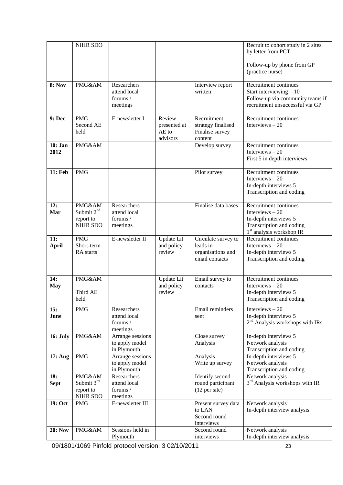|                 | NIHR SDO                            |                                    |                       |                                       | Recruit to cohort study in 2 sites<br>by letter from PCT            |
|-----------------|-------------------------------------|------------------------------------|-----------------------|---------------------------------------|---------------------------------------------------------------------|
|                 |                                     |                                    |                       |                                       |                                                                     |
|                 |                                     |                                    |                       |                                       | Follow-up by phone from GP                                          |
|                 |                                     |                                    |                       |                                       | (practice nurse)                                                    |
| <b>8: Nov</b>   | PMG&AM                              | Researchers                        |                       | Interview report                      | Recruitment continues                                               |
|                 |                                     | attend local                       |                       | written                               | Start interviewing $-10$                                            |
|                 |                                     | forums $/$<br>meetings             |                       |                                       | Follow-up via community teams if<br>recruitment unsuccessful via GP |
|                 |                                     |                                    |                       |                                       |                                                                     |
| 9: Dec          | <b>PMG</b>                          | E-newsletter I                     | Review                | Recruitment                           | Recruitment continues                                               |
|                 | Second AE<br>held                   |                                    | presented at<br>AE to | strategy finalised<br>Finalise survey | Interviews $-20$                                                    |
|                 |                                     |                                    | advisors              | content                               |                                                                     |
| 10: Jan         | PMG&AM                              |                                    |                       | Develop survey                        | Recruitment continues                                               |
| 2012            |                                     |                                    |                       |                                       | Interviews $-20$                                                    |
|                 |                                     |                                    |                       |                                       | First 5 in depth interviews                                         |
| 11: Feb         | <b>PMG</b>                          |                                    |                       | Pilot survey                          | Recruitment continues                                               |
|                 |                                     |                                    |                       |                                       | Interviews $-20$                                                    |
|                 |                                     |                                    |                       |                                       | In-depth interviews 5<br>Transcription and coding                   |
|                 |                                     |                                    |                       |                                       |                                                                     |
| 12:             | PMG&AM                              | Researchers                        |                       | Finalise data bases                   | Recruitment continues                                               |
| Mar             | Submit 2 <sup>nd</sup><br>report to | attend local<br>forums /           |                       |                                       | Interviews $-20$<br>In-depth interviews 5                           |
|                 | <b>NIHR SDO</b>                     | meetings                           |                       |                                       | Transcription and coding                                            |
|                 |                                     |                                    |                       |                                       | 1 <sup>st</sup> analysis workshop IR                                |
| 13:             | <b>PMG</b><br>Short-term            | E-newsletter II                    | Update Lit            | Circulate survey to<br>leads in       | Recruitment continues<br>Interviews $-20$                           |
| <b>April</b>    | RA starts                           |                                    | and policy<br>review  | organisations and                     | In-depth interviews 5                                               |
|                 |                                     |                                    |                       | email contacts                        | Transcription and coding                                            |
|                 |                                     |                                    |                       |                                       |                                                                     |
| 14:             | PMG&AM                              |                                    | Update Lit            | Email survey to                       | Recruitment continues                                               |
| <b>May</b>      |                                     |                                    | and policy            | contacts                              | Interviews $-20$                                                    |
|                 | Third AE<br>held                    |                                    | review                |                                       | In-depth interviews 5<br>Transcription and coding                   |
|                 |                                     |                                    |                       |                                       |                                                                     |
| 15:<br>June     | <b>PMG</b>                          | Researchers<br>attend local        |                       | <b>Email</b> reminders<br>sent        | Interviews $-20$<br>In-depth interviews 5                           |
|                 |                                     | forums /                           |                       |                                       | 2 <sup>nd</sup> Analysis workshops with IRs                         |
|                 |                                     | meetings                           |                       |                                       |                                                                     |
| <b>16: July</b> | PMG&AM                              | Arrange sessions<br>to apply model |                       | Close survey                          | In-depth interviews 5                                               |
|                 |                                     | in Plymouth                        |                       | Analysis                              | Network analysis<br>Transcription and coding                        |
| 17: Aug         | <b>PMG</b>                          | Arrange sessions                   |                       | Analysis                              | In-depth interviews 5                                               |
|                 |                                     | to apply model                     |                       | Write up survey                       | Network analysis                                                    |
| 18:             | PMG&AM                              | in Plymouth<br>Researchers         |                       | Identify second                       | Transcription and coding<br>Network analysis                        |
| <b>Sept</b>     | Submit $3rd$                        | attend local                       |                       | round participant                     | 3 <sup>rd</sup> Analysis workshops with IR                          |
|                 | report to                           | forums /                           |                       | $(12$ per site)                       |                                                                     |
| 19: Oct         | NIHR SDO<br><b>PMG</b>              | meetings<br>E-newsletter III       |                       | Present survey data                   | Network analysis                                                    |
|                 |                                     |                                    |                       | to LAN                                | In-depth interview analysis                                         |
|                 |                                     |                                    |                       | Second round                          |                                                                     |
|                 |                                     |                                    |                       | interviews                            |                                                                     |
| <b>20: Nov</b>  | PMG&AM                              | Sessions held in<br>Plymouth       |                       | Second round<br>interviews            | Network analysis<br>In-depth interview analysis                     |
|                 |                                     |                                    |                       |                                       |                                                                     |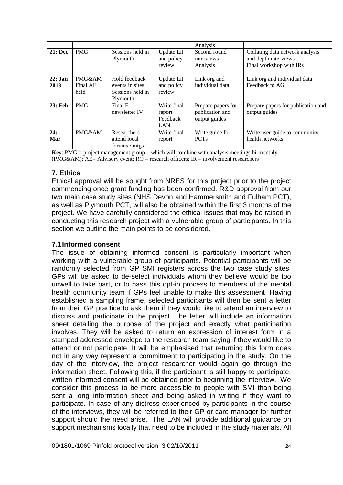|                |            |                  |             | Analysis           |                                    |
|----------------|------------|------------------|-------------|--------------------|------------------------------------|
| <b>21: Dec</b> | <b>PMG</b> | Sessions held in | Update Lit  | Second round       | Collating data network analysis    |
|                |            | Plymouth         | and policy  | interviews         | and depth interviews               |
|                |            |                  | review      | Analysis           | Final workshop with IRs            |
|                |            |                  |             |                    |                                    |
| $22:$ Jan      | PMG&AM     | Hold feedback    | Update Lit  | Link org and       | Link org and individual data       |
| 2013           | Final AE   | events in sites  | and policy  | individual data    | Feedback to AG                     |
|                | held       | Sessions held in | review      |                    |                                    |
|                |            | Plymouth         |             |                    |                                    |
| <b>23: Feb</b> | <b>PMG</b> | Final E-         | Write final | Prepare papers for | Prepare papers for publication and |
|                |            | newsletter IV    | report      | publication and    | output guides                      |
|                |            |                  | Feedback    | output guides      |                                    |
|                |            |                  | LAN         |                    |                                    |
| 24:            | PMG&AM     | Researchers      | Write final | Write guide for    | Write user guide to community      |
| Mar            |            | attend local     | report      | <b>PCTs</b>        | health networks                    |
|                |            | forums / mtgs    |             |                    |                                    |

**Key**: PMG = project management group – which will combine with analysis meetings bi-monthly (PMG&AM);  $AE =$  Advisory event;  $RO =$  research officers;  $IR =$  involvement researchers

## **7. Ethics**

Ethical approval will be sought from NRES for this project prior to the project commencing once grant funding has been confirmed. R&D approval from our two main case study sites (NHS Devon and Hammersmith and Fulham PCT), as well as Plymouth PCT, will also be obtained within the first 3 months of the project. We have carefully considered the ethical issues that may be raised in conducting this research project with a vulnerable group of participants. In this section we outline the main points to be considered.

### **7.1Informed consent**

The issue of obtaining informed consent is particularly important when working with a vulnerable group of participants. Potential participants will be randomly selected from GP SMI registers across the two case study sites. GPs will be asked to de-select individuals whom they believe would be too unwell to take part, or to pass this opt-in process to members of the mental health community team if GPs feel unable to make this assessment. Having established a sampling frame, selected participants will then be sent a letter from their GP practice to ask them if they would like to attend an interview to discuss and participate in the project. The letter will include an information sheet detailing the purpose of the project and exactly what participation involves. They will be asked to return an expression of interest form in a stamped addressed envelope to the research team saying if they would like to attend or not participate. It will be emphasised that returning this form does not in any way represent a commitment to participating in the study. On the day of the interview, the project researcher would again go through the information sheet. Following this, if the participant is still happy to participate, written informed consent will be obtained prior to beginning the interview. We consider this process to be more accessible to people with SMI than being sent a long information sheet and being asked in writing if they want to participate. In case of any distress experienced by participants in the course of the interviews, they will be referred to their GP or care manager for further support should the need arise. The LAN will provide additional guidance on support mechanisms locally that need to be included in the study materials. All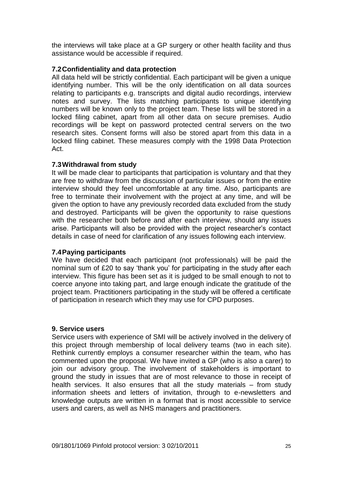the interviews will take place at a GP surgery or other health facility and thus assistance would be accessible if required.

## **7.2Confidentiality and data protection**

All data held will be strictly confidential. Each participant will be given a unique identifying number. This will be the only identification on all data sources relating to participants e.g. transcripts and digital audio recordings, interview notes and survey. The lists matching participants to unique identifying numbers will be known only to the project team. These lists will be stored in a locked filing cabinet, apart from all other data on secure premises. Audio recordings will be kept on password protected central servers on the two research sites. Consent forms will also be stored apart from this data in a locked filing cabinet. These measures comply with the 1998 Data Protection Act.

### **7.3Withdrawal from study**

It will be made clear to participants that participation is voluntary and that they are free to withdraw from the discussion of particular issues or from the entire interview should they feel uncomfortable at any time. Also, participants are free to terminate their involvement with the project at any time, and will be given the option to have any previously recorded data excluded from the study and destroyed. Participants will be given the opportunity to raise questions with the researcher both before and after each interview, should any issues arise. Participants will also be provided with the project researcher"s contact details in case of need for clarification of any issues following each interview.

### **7.4Paying participants**

We have decided that each participant (not professionals) will be paid the nominal sum of £20 to say "thank you" for participating in the study after each interview. This figure has been set as it is judged to be small enough to not to coerce anyone into taking part, and large enough indicate the gratitude of the project team. Practitioners participating in the study will be offered a certificate of participation in research which they may use for CPD purposes.

### **9. Service users**

Service users with experience of SMI will be actively involved in the delivery of this project through membership of local delivery teams (two in each site). Rethink currently employs a consumer researcher within the team, who has commented upon the proposal. We have invited a GP (who is also a carer) to join our advisory group. The involvement of stakeholders is important to ground the study in issues that are of most relevance to those in receipt of health services. It also ensures that all the study materials – from study information sheets and letters of invitation, through to e-newsletters and knowledge outputs are written in a format that is most accessible to service users and carers, as well as NHS managers and practitioners.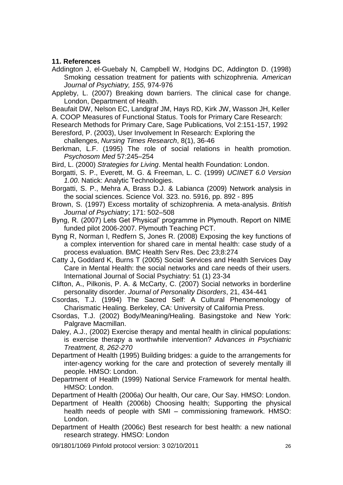### **11. References**

- Addington J, el-Guebaly N, Campbell W, Hodgins DC, Addington D. (1998) Smoking cessation treatment for patients with schizophrenia. *American Journal of Psychiatry, 155,* 974-976
- Appleby, L. (2007) Breaking down barriers. The clinical case for change. London, Department of Health.
- Beaufait DW, Nelson EC, Landgraf JM, Hays RD, Kirk JW, Wasson JH, Keller A. COOP Measures of Functional Status. Tools for Primary Care Research:
- Research Methods for Primary Care, Sage Publications, Vol 2:151-157, 1992 Beresford, P. (2003), User Involvement In Research: Exploring the
	- challenges, *Nursing Times Research*, 8(1), 36-46
- Berkman, L.F. (1995) The role of social relations in health promotion. *Psychosom Med* 57:245–254
- Bird, L. (2000) *Strategies for Living*. Mental health Foundation: London.
- Borgatti, S. P., Everett, M. G. & Freeman, L. C. (1999) *UCINET 6.0 Version 1.00*. Natick: Analytic Technologies.
- Borgatti, S. P., Mehra A, Brass D.J. & Labianca (2009) Network analysis in the social sciences. Science Vol. 323. no. 5916, pp. 892 - 895
- Brown, S. (1997) Excess mortality of schizophrenia. A meta-analysis. *British Journal of Psychiatry*; 171: 502–508
- Byng, R. (2007) Lets Get Physical" programme in Plymouth. Report on NIME funded pilot 2006-2007. Plymouth Teaching PCT.
- Byng R, Norman I, Redfern S, Jones R. (2008) [Exposing the key functions of](http://www.ncbi.nlm.nih.gov/pubmed/19105823?ordinalpos=1&itool=Email.EmailReport.Pubmed_ReportSelector.Pubmed_RVDocSum)  [a complex intervention for shared care in mental health: case study of a](http://www.ncbi.nlm.nih.gov/pubmed/19105823?ordinalpos=1&itool=Email.EmailReport.Pubmed_ReportSelector.Pubmed_RVDocSum)  [process evaluation.](http://www.ncbi.nlm.nih.gov/pubmed/19105823?ordinalpos=1&itool=Email.EmailReport.Pubmed_ReportSelector.Pubmed_RVDocSum) BMC Health Serv Res. Dec 23;8:274
- Catty J**,** Goddard K, Burns T (2005) Social Services and Health Services Day Care in Mental Health: the social networks and care needs of their users*.*  International Journal of Social Psychiatry: 51 (1) 23-34
- Clifton, A., Pilkonis, P. A. & McCarty, C. (2007) Social networks in borderline personality disorder. *Journal of Personality Disorders*, 21, 434-441
- Csordas, T.J. (1994) The Sacred Self: A Cultural Phenomenology of Charismatic Healing. Berkeley, CA: University of California Press.
- Csordas, T.J. (2002) Body/Meaning/Healing. Basingstoke and New York: Palgrave Macmillan.
- Daley, A.J., (2002) Exercise therapy and mental health in clinical populations: is exercise therapy a worthwhile intervention? *Advances in Psychiatric Treatment, 8, 262-270*
- Department of Health (1995) Building bridges: a guide to the arrangements for inter-agency working for the care and protection of severely mentally ill people. HMSO: London.
- Department of Health (1999) National Service Framework for mental health. HMSO: London.
- Department of Health (2006a) Our health, Our care, Our Say. HMSO: London.
- Department of Health (2006b) Choosing health; Supporting the physical health needs of people with SMI – commissioning framework. HMSO: London.
- Department of Health (2006c) Best research for best health: a new national research strategy. HMSO: London
- 09/1801/1069 Pinfold protocol version: 3 02/10/2011 26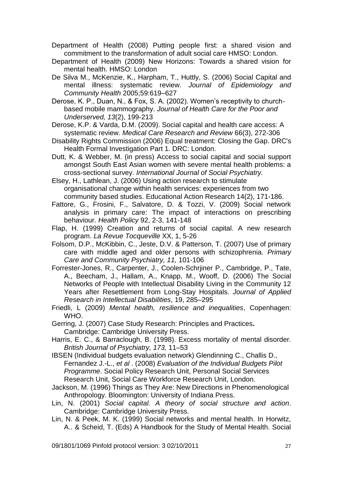- Department of Health (2008) Putting people first: a shared vision and commitment to the transformation of adult social care HMSO: London.
- Department of Health (2009) New Horizons: Towards a shared vision for mental health. HMSO: London
- De Silva M., McKenzie, K., Harpham, T., Huttly, S. (2006) Social Capital and mental illness: systematic review. *Journal of Epidemiology and Community Health* 2005;59:619–627

Derose, K. P., Duan, N., & Fox, S. A. (2002). Women"s receptivity to churchbased mobile mammography. *Journal of Health Care for the Poor and Underserved, 13*(2), 199-213

Derose, K.P. & Varda, D.M. (2009). Social capital and health care access: A systematic review. *Medical Care Research and Review* 66(3), 272-306

Disability Rights Commission (2006) Equal treatment: Closing the Gap. DRC's Health Formal Investigation Part 1. DRC: London.

Dutt, K. & Webber, M. (in press) Access to social capital and social support amongst South East Asian women with severe mental health problems: a cross-sectional survey. *International Journal of Social Psychiatry.*

Elsey, H., Lathlean, J. (2006) Using action research to stimulate organisational change within health services: experiences from two community based studies. Educational Action Research 14(2), 171-186.

- Fattore, G., Frosini, F., Salvatore, D. & Tozzi, V. (2009) Social network analysis in primary care: The impact of interactions on prescribing behaviour. *Health Policy* 92, 2-3, 141-148
- Flap, H. (1999) Creation and returns of social capital. A new research program. *La Revue Tocqueville* XX, 1, 5-26
- Folsom, D.P., McKibbin, C., Jeste, D.V. & Patterson, T. (2007) Use of primary care with middle aged and older persons with schizophrenia. *Primary Care and Community Psychiatry, 11,* 101-106
- Forrester-Jones, R., Carpenter, J., Coolen-Schrjiner P., Cambridge, P., Tate, A., Beecham, J., Hallam, A., Knapp, M., Wooff, D. (2006) The Social Networks of People with Intellectual Disability Living in the Community 12 Years after Resettlement from Long-Stay Hospitals. *Journal of Applied Research in Intellectual Disabilities*, 19, 285–295
- Friedli, L (2009) *Mental health, resilience and inequalities*, Copenhagen: WHO.

Gerring, J. (2007) Case Study Research: Principles and Practices**.**  Cambridge: Cambridge University Press.

Harris, E. C., & Barraclough, B. (1998). Excess mortality of mental disorder. *British Journal of Psychiatry, 173,* 11–53

IBSEN (Individual budgets evaluation network) Glendinning C., Challis D., Fernandez J.-L., *et al* . (2008) *Evaluation of the Individual Budgets Pilot Programme*. Social Policy Research Unit, Personal Social Services Research Unit, Social Care Workforce Research Unit, London.

- Jackson, M. (1996) Things as They Are: New Directions in Phenomenological Anthropology. Bloomington: University of Indiana Press.
- Lin, N. (2001) *Social capital. A theory of social structure and action*. Cambridge: Cambridge University Press.
- Lin, N. & Peek, M. K. (1999) Social networks and mental health. In Horwitz, A.. & Scheid, T. (Eds) A Handbook for the Study of Mental Health. Social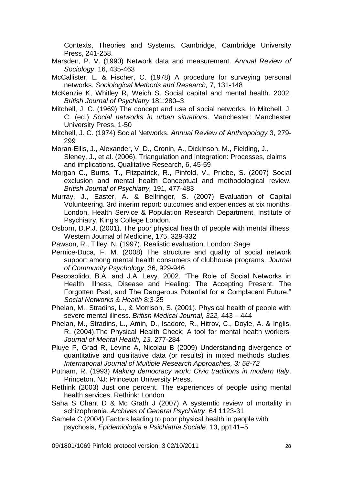Contexts, Theories and Systems*.* Cambridge, Cambridge University Press, 241-258.

- Marsden, P. V. (1990) Network data and measurement. *Annual Review of Sociology*, 16, 435-463
- McCallister, L. & Fischer, C. (1978) A procedure for surveying personal networks. *Sociological Methods and Research,* 7, 131-148
- McKenzie K, Whitley R, Weich S. Social capital and mental health. 2002; *British Journal of Psychiatry* 181:280–3.
- Mitchell, J. C. (1969) The concept and use of social networks. In Mitchell, J. C. (ed.) *Social networks in urban situations*. Manchester: Manchester University Press, 1-50
- Mitchell, J. C. (1974) Social Networks. *Annual Review of Anthropology* 3, 279- 299
- Moran-Ellis, J., Alexander, V. D., Cronin, A., Dickinson, M., Fielding, J., Sleney, J., et al. (2006). Triangulation and integration: Processes, claims and implications. Qualitative Research, 6, 45-59
- Morgan C., Burns, T., Fitzpatrick, R., Pinfold, V., Priebe, S. (2007) Social exclusion and mental health Conceptual and methodological review. *British Journal of Psychiatry,* 191, 477-483
- Murray, J., Easter, A. & Bellringer, S. (2007) Evaluation of Capital Volunteering. 3rd interim report: outcomes and experiences at six months. London, Health Service & Population Research Department, Institute of Psychiatry, King's College London.
- Osborn, D.P.J. (2001). The poor physical health of people with mental illness. Western Journal of Medicine, 175, 329-332
- Pawson, R., Tilley, N. (1997). Realistic evaluation. London: Sage
- Pernice-Duca, F. M. (2008) The structure and quality of social network support among mental health consumers of clubhouse programs. *Journal of Community Psychology*, 36, 929-946
- Pescosolido, B.A. and J.A. Levy. 2002. "The Role of Social Networks in Health, Illness, Disease and Healing: The Accepting Present, The Forgotten Past, and The Dangerous Potential for a Complacent Future." *Social Networks & Health* 8:3-25
- Phelan, M., Stradins, L., & Morrison, S. (2001). Physical health of people with severe mental illness. *British Medical Journal, 322,* 443 – 444
- Phelan, M., Stradins, L., Amin, D., Isadore, R., Hitrov, C., Doyle, A. & Inglis, R. (2004).The Physical Health Check: A tool for mental health workers. *Journal of Mental Health, 13,* 277-284
- Pluye P, Grad R, Levine A, Nicolau B (2009) Understanding divergence of quantitative and qualitative data (or results) in mixed methods studies. *International Journal of Multiple Research Approaches, 3: 58-72*
- Putnam, R. (1993) *Making democracy work: Civic traditions in modern Italy*. Princeton, NJ: Princeton University Press.
- Rethink (2003) Just one percent. The experiences of people using mental health services. Rethink: London
- Saha S Chant D & Mc Grath J (2007) A systemtic review of mortality in schizophrenia. *Archives of General Psychiatry*, 64 1123-31
- Samele C (2004) Factors leading to poor physical health in people with psychosis, *Epidemiologia e Psichiatria Sociale*, 13, pp141–5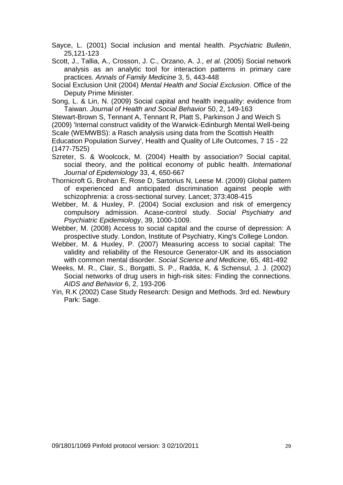Sayce, L. (2001) Social inclusion and mental health. *Psychiatric Bulletin*, 25,121-123

Scott, J., Tallia, A., Crosson, J. C., Orzano, A. J.*, et al.* (2005) Social network analysis as an analytic tool for interaction patterns in primary care practices. *Annals of Family Medicine* 3, 5, 443-448

Social Exclusion Unit (2004) *Mental Health and Social Exclusion*. Office of the Deputy Prime Minister.

Song, L. & Lin, N. (2009) Social capital and health inequality: evidence from Taiwan. *Journal of Health and Social Behavior* 50, 2, 149-163

Stewart-Brown S, Tennant A, Tennant R, Platt S, Parkinson J and Weich S (2009) 'Internal construct validity of the Warwick-Edinburgh Mental Well-being Scale (WEMWBS): a Rasch analysis using data from the Scottish Health Education Population Survey', Health and Quality of Life Outcomes, 7 15 - 22

(1477-7525)

Szreter, S. & Woolcock, M. (2004) Health by association? Social capital, social theory, and the political economy of public health. *International Journal of Epidemiology* 33, 4, 650-667

Thornicroft G, Brohan E, Rose D, Sartorius N, Leese M. (2009) Global pattern of experienced and anticipated discrimination against people with schizophrenia: a cross-sectional survey. Lancet; 373:408-415

Webber, M. & Huxley, P. (2004) Social exclusion and risk of emergency compulsory admission. Acase-control study. *Social Psychiatry and Psychiatric Epidemiology*, 39, 1000-1009.

Webber, M. (2008) Access to social capital and the course of depression: A prospective study. London, Institute of Psychiatry, King's College London.

Webber, M. & Huxley, P. (2007) Measuring access to social capital: The validity and reliability of the Resource Generator-UK and its association with common mental disorder. *Social Science and Medicine*, 65, 481-492

Weeks, M. R., Clair, S., Borgatti, S. P., Radda, K. & Schensul, J. J. (2002) Social networks of drug users in high-risk sites: Finding the connections. *AIDS and Behavior* 6, 2, 193-206

Yin, R.K (2002) Case Study Research: Design and Methods. 3rd ed. Newbury Park: Sage.